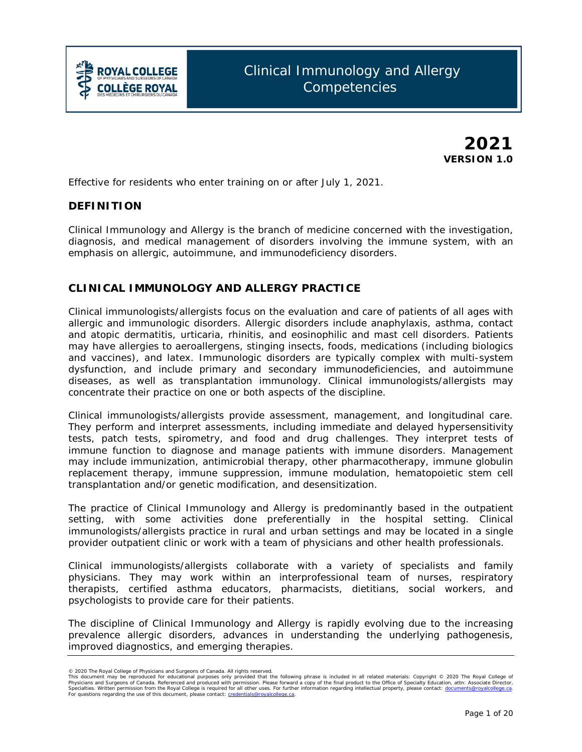

**2021 VERSION 1.0**

*Effective for residents who enter training on or after July 1, 2021.*

## **DEFINITION**

Clinical Immunology and Allergy is the branch of medicine concerned with the investigation, diagnosis, and medical management of disorders involving the immune system, with an emphasis on allergic, autoimmune, and immunodeficiency disorders.

## **CLINICAL IMMUNOLOGY AND ALLERGY PRACTICE**

Clinical immunologists/allergists focus on the evaluation and care of patients of all ages with allergic and immunologic disorders. Allergic disorders include anaphylaxis, asthma, contact and atopic dermatitis, urticaria, rhinitis, and eosinophilic and mast cell disorders. Patients may have allergies to aeroallergens, stinging insects, foods, medications (including biologics and vaccines), and latex. Immunologic disorders are typically complex with multi-system dysfunction, and include primary and secondary immunodeficiencies, and autoimmune diseases, as well as transplantation immunology. Clinical immunologists/allergists may concentrate their practice on one or both aspects of the discipline.

Clinical immunologists/allergists provide assessment, management, and longitudinal care. They perform and interpret assessments, including immediate and delayed hypersensitivity tests, patch tests, spirometry, and food and drug challenges. They interpret tests of immune function to diagnose and manage patients with immune disorders. Management may include immunization, antimicrobial therapy, other pharmacotherapy, immune globulin replacement therapy, immune suppression, immune modulation, hematopoietic stem cell transplantation and/or genetic modification, and desensitization.

The practice of Clinical Immunology and Allergy is predominantly based in the outpatient setting, with some activities done preferentially in the hospital setting. Clinical immunologists/allergists practice in rural and urban settings and may be located in a single provider outpatient clinic or work with a team of physicians and other health professionals.

Clinical immunologists/allergists collaborate with a variety of specialists and family physicians. They may work within an interprofessional team of nurses, respiratory therapists, certified asthma educators, pharmacists, dietitians, social workers, and psychologists to provide care for their patients.

The discipline of Clinical Immunology and Allergy is rapidly evolving due to the increasing prevalence allergic disorders, advances in understanding the underlying pathogenesis, improved diagnostics, and emerging therapies.

<sup>© 2020</sup> The Royal College of Physicians and Surgeons of Canada. All rights reserved.<br>This document may be reproduced for educational purposes only provided it hat the following phrase is included in all related materials: Specialties. Written permission from the Royal College is required for all other uses. For further information regarding intellectual property, please contact: <u>documents@royalcollege.ca</u>.<br>For questions regarding the use o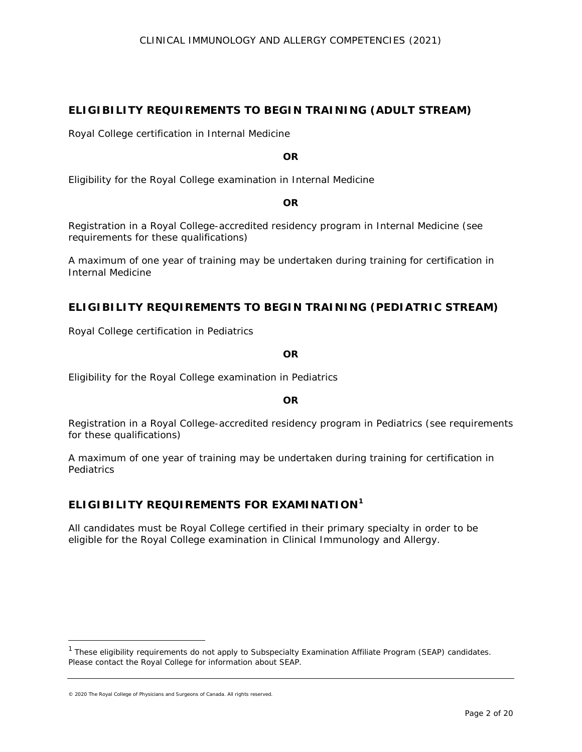## **ELIGIBILITY REQUIREMENTS TO BEGIN TRAINING (ADULT STREAM)**

Royal College certification in Internal Medicine

**OR**

Eligibility for the Royal College examination in Internal Medicine

**OR**

Registration in a Royal College-accredited residency program in Internal Medicine (see requirements for these qualifications)

A maximum of one year of training may be undertaken during training for certification in Internal Medicine

## **ELIGIBILITY REQUIREMENTS TO BEGIN TRAINING (PEDIATRIC STREAM)**

Royal College certification in Pediatrics

**OR**

Eligibility for the Royal College examination in Pediatrics

**OR**

Registration in a Royal College-accredited residency program in Pediatrics (see requirements for these qualifications)

A maximum of one year of training may be undertaken during training for certification in **Pediatrics** 

# **ELIGIBILITY REQUIREMENTS FOR EXAMINATION[1](#page-1-0)**

All candidates must be Royal College certified in their primary specialty in order to be eligible for the Royal College examination in Clinical Immunology and Allergy.

© 2020 The Royal College of Physicians and Surgeons of Canada. All rights reserved.

 $\overline{a}$ 

<span id="page-1-0"></span> $1$  These eligibility requirements do not apply to Subspecialty Examination Affiliate Program (SEAP) candidates. Please contact the Royal College for information about SEAP.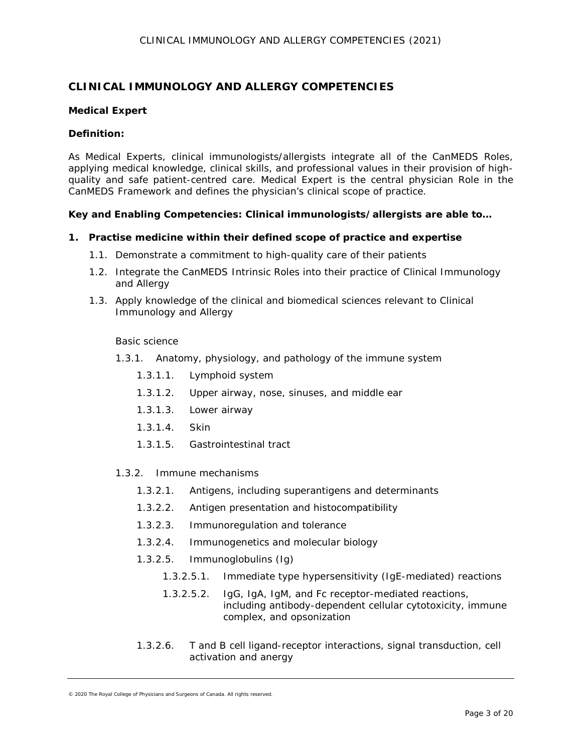## **CLINICAL IMMUNOLOGY AND ALLERGY COMPETENCIES**

#### **Medical Expert**

### *Definition:*

As *Medical Experts*, clinical immunologists/allergists integrate all of the CanMEDS Roles, applying medical knowledge, clinical skills, and professional values in their provision of highquality and safe patient-centred care. Medical Expert is the central physician Role in the CanMEDS Framework and defines the physician's clinical scope of practice.

### *Key and Enabling Competencies: Clinical immunologists/allergists are able to…*

### **1. Practise medicine within their defined scope of practice and expertise**

- 1.1. Demonstrate a commitment to high-quality care of their patients
- 1.2. Integrate the CanMEDS Intrinsic Roles into their practice of Clinical Immunology and Allergy
- 1.3. Apply knowledge of the clinical and biomedical sciences relevant to Clinical Immunology and Allergy

#### Basic science

- 1.3.1. Anatomy, physiology, and pathology of the immune system
	- 1.3.1.1. Lymphoid system
	- 1.3.1.2. Upper airway, nose, sinuses, and middle ear
	- 1.3.1.3. Lower airway
	- 1.3.1.4. Skin
	- 1.3.1.5. Gastrointestinal tract

#### 1.3.2. Immune mechanisms

- 1.3.2.1. Antigens, including superantigens and determinants
- 1.3.2.2. Antigen presentation and histocompatibility
- 1.3.2.3. Immunoregulation and tolerance
- 1.3.2.4. Immunogenetics and molecular biology
- 1.3.2.5. Immunoglobulins (Ig)
	- 1.3.2.5.1. Immediate type hypersensitivity (IgE-mediated) reactions
	- 1.3.2.5.2. IgG, IgA, IgM, and Fc receptor-mediated reactions, including antibody-dependent cellular cytotoxicity, immune complex, and opsonization
- 1.3.2.6. T and B cell ligand-receptor interactions, signal transduction, cell activation and anergy

<sup>© 2020</sup> The Royal College of Physicians and Surgeons of Canada. All rights reserved.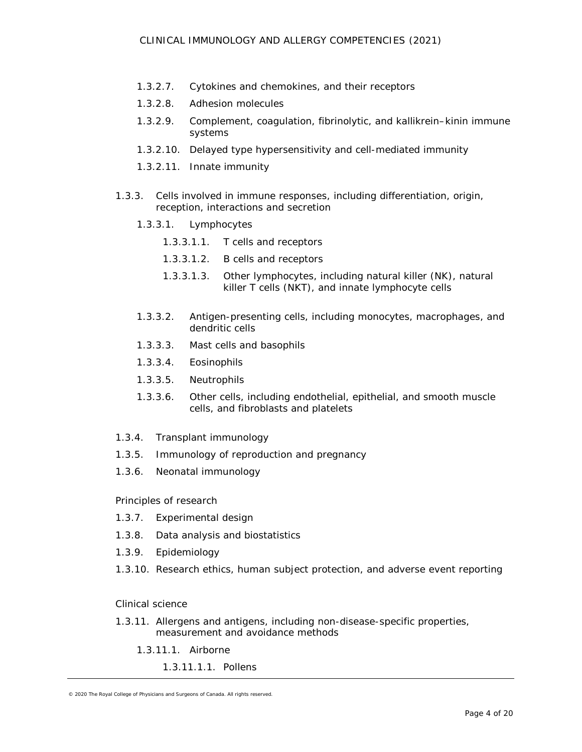- 1.3.2.7. Cytokines and chemokines, and their receptors
- 1.3.2.8. Adhesion molecules
- 1.3.2.9. Complement, coagulation, fibrinolytic, and kallikrein–kinin immune systems
- 1.3.2.10. Delayed type hypersensitivity and cell-mediated immunity
- 1.3.2.11. Innate immunity
- 1.3.3. Cells involved in immune responses, including differentiation, origin, reception, interactions and secretion
	- 1.3.3.1. Lymphocytes
		- 1.3.3.1.1. T cells and receptors
		- 1.3.3.1.2. B cells and receptors
		- 1.3.3.1.3. Other lymphocytes, including natural killer (NK), natural killer T cells (NKT), and innate lymphocyte cells
	- 1.3.3.2. Antigen-presenting cells, including monocytes, macrophages, and dendritic cells
	- 1.3.3.3. Mast cells and basophils
	- 1.3.3.4. Eosinophils
	- 1.3.3.5. Neutrophils
	- 1.3.3.6. Other cells, including endothelial, epithelial, and smooth muscle cells, and fibroblasts and platelets
- 1.3.4. Transplant immunology
- 1.3.5. Immunology of reproduction and pregnancy
- 1.3.6. Neonatal immunology

Principles of research

- 1.3.7. Experimental design
- 1.3.8. Data analysis and biostatistics
- 1.3.9. Epidemiology
- 1.3.10. Research ethics, human subject protection, and adverse event reporting

#### Clinical science

- 1.3.11. Allergens and antigens, including non-disease-specific properties, measurement and avoidance methods
	- 1.3.11.1. Airborne
		- 1.3.11.1.1. Pollens

<sup>© 2020</sup> The Royal College of Physicians and Surgeons of Canada. All rights reserved.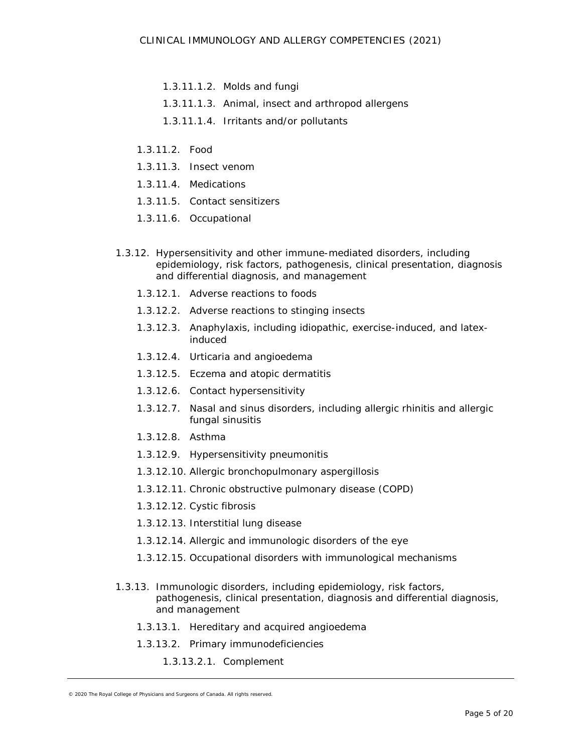- 1.3.11.1.2. Molds and fungi
- 1.3.11.1.3. Animal, insect and arthropod allergens
- 1.3.11.1.4. Irritants and/or pollutants
- 1.3.11.2. Food
- 1.3.11.3. Insect venom
- 1.3.11.4. Medications
- 1.3.11.5. Contact sensitizers
- 1.3.11.6. Occupational
- 1.3.12. Hypersensitivity and other immune-mediated disorders, including epidemiology, risk factors, pathogenesis, clinical presentation, diagnosis and differential diagnosis, and management
	- 1.3.12.1. Adverse reactions to foods
	- 1.3.12.2. Adverse reactions to stinging insects
	- 1.3.12.3. Anaphylaxis, including idiopathic, exercise-induced, and latexinduced
	- 1.3.12.4. Urticaria and angioedema
	- 1.3.12.5. Eczema and atopic dermatitis
	- 1.3.12.6. Contact hypersensitivity
	- 1.3.12.7. Nasal and sinus disorders, including allergic rhinitis and allergic fungal sinusitis
	- 1.3.12.8. Asthma
	- 1.3.12.9. Hypersensitivity pneumonitis
	- 1.3.12.10. Allergic bronchopulmonary aspergillosis
	- 1.3.12.11. Chronic obstructive pulmonary disease (COPD)
	- 1.3.12.12. Cystic fibrosis
	- 1.3.12.13. Interstitial lung disease
	- 1.3.12.14. Allergic and immunologic disorders of the eye
	- 1.3.12.15. Occupational disorders with immunological mechanisms
- 1.3.13. Immunologic disorders, including epidemiology, risk factors, pathogenesis, clinical presentation, diagnosis and differential diagnosis, and management
	- 1.3.13.1. Hereditary and acquired angioedema
	- 1.3.13.2. Primary immunodeficiencies
		- 1.3.13.2.1. Complement

<sup>© 2020</sup> The Royal College of Physicians and Surgeons of Canada. All rights reserved.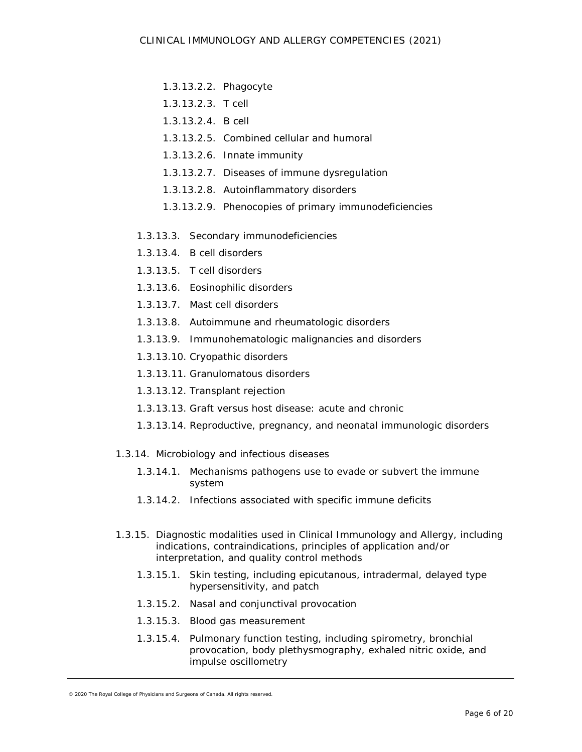- 1.3.13.2.2. Phagocyte
- 1.3.13.2.3. T cell
- 1.3.13.2.4. B cell
- 1.3.13.2.5. Combined cellular and humoral
- 1.3.13.2.6. Innate immunity
- 1.3.13.2.7. Diseases of immune dysregulation
- 1.3.13.2.8. Autoinflammatory disorders
- 1.3.13.2.9. Phenocopies of primary immunodeficiencies
- 1.3.13.3. Secondary immunodeficiencies
- 1.3.13.4. B cell disorders
- 1.3.13.5. T cell disorders
- 1.3.13.6. Eosinophilic disorders
- 1.3.13.7. Mast cell disorders
- 1.3.13.8. Autoimmune and rheumatologic disorders
- 1.3.13.9. Immunohematologic malignancies and disorders
- 1.3.13.10. Cryopathic disorders
- 1.3.13.11. Granulomatous disorders
- 1.3.13.12. Transplant rejection
- 1.3.13.13. Graft versus host disease: acute and chronic
- 1.3.13.14. Reproductive, pregnancy, and neonatal immunologic disorders
- 1.3.14. Microbiology and infectious diseases
	- 1.3.14.1. Mechanisms pathogens use to evade or subvert the immune system
	- 1.3.14.2. Infections associated with specific immune deficits
- 1.3.15. Diagnostic modalities used in Clinical Immunology and Allergy, including indications, contraindications, principles of application and/or interpretation, and quality control methods
	- 1.3.15.1. Skin testing, including epicutanous, intradermal, delayed type hypersensitivity, and patch
	- 1.3.15.2. Nasal and conjunctival provocation
	- 1.3.15.3. Blood gas measurement
	- 1.3.15.4. Pulmonary function testing, including spirometry, bronchial provocation, body plethysmography, exhaled nitric oxide, and impulse oscillometry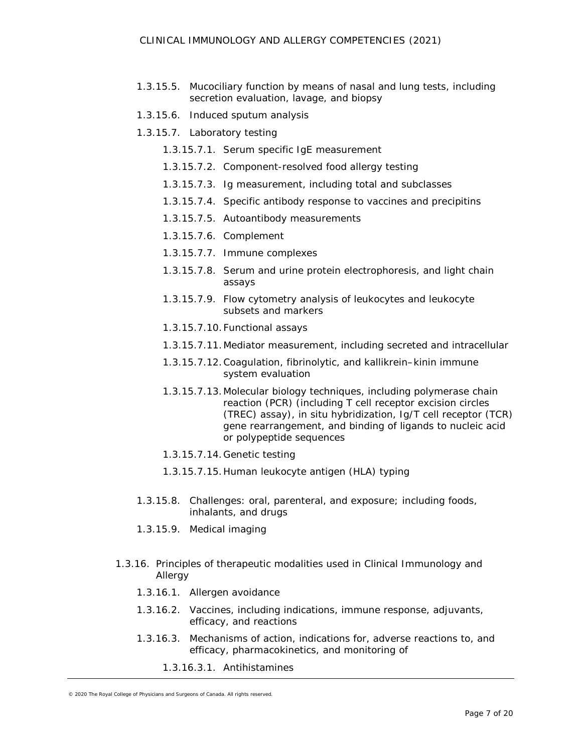- 1.3.15.5. Mucociliary function by means of nasal and lung tests, including secretion evaluation, lavage, and biopsy
- 1.3.15.6. Induced sputum analysis
- 1.3.15.7. Laboratory testing
	- 1.3.15.7.1. Serum specific IgE measurement
	- 1.3.15.7.2. Component-resolved food allergy testing
	- 1.3.15.7.3. Ig measurement, including total and subclasses
	- 1.3.15.7.4. Specific antibody response to vaccines and precipitins
	- 1.3.15.7.5. Autoantibody measurements
	- 1.3.15.7.6. Complement
	- 1.3.15.7.7. Immune complexes
	- 1.3.15.7.8. Serum and urine protein electrophoresis, and light chain assays
	- 1.3.15.7.9. Flow cytometry analysis of leukocytes and leukocyte subsets and markers
	- 1.3.15.7.10.Functional assays
	- 1.3.15.7.11.Mediator measurement, including secreted and intracellular
	- 1.3.15.7.12.Coagulation, fibrinolytic, and kallikrein–kinin immune system evaluation
	- 1.3.15.7.13.Molecular biology techniques, including polymerase chain reaction (PCR) (including T cell receptor excision circles (TREC) assay), in situ hybridization, Ig/T cell receptor (TCR) gene rearrangement, and binding of ligands to nucleic acid or polypeptide sequences
	- 1.3.15.7.14.Genetic testing
	- 1.3.15.7.15.Human leukocyte antigen (HLA) typing
- 1.3.15.8. Challenges: oral, parenteral, and exposure; including foods, inhalants, and drugs
- 1.3.15.9. Medical imaging
- 1.3.16. Principles of therapeutic modalities used in Clinical Immunology and Allergy
	- 1.3.16.1. Allergen avoidance
	- 1.3.16.2. Vaccines, including indications, immune response, adjuvants, efficacy, and reactions
	- 1.3.16.3. Mechanisms of action, indications for, adverse reactions to, and efficacy, pharmacokinetics, and monitoring of
		- 1.3.16.3.1. Antihistamines

<sup>© 2020</sup> The Royal College of Physicians and Surgeons of Canada. All rights reserved.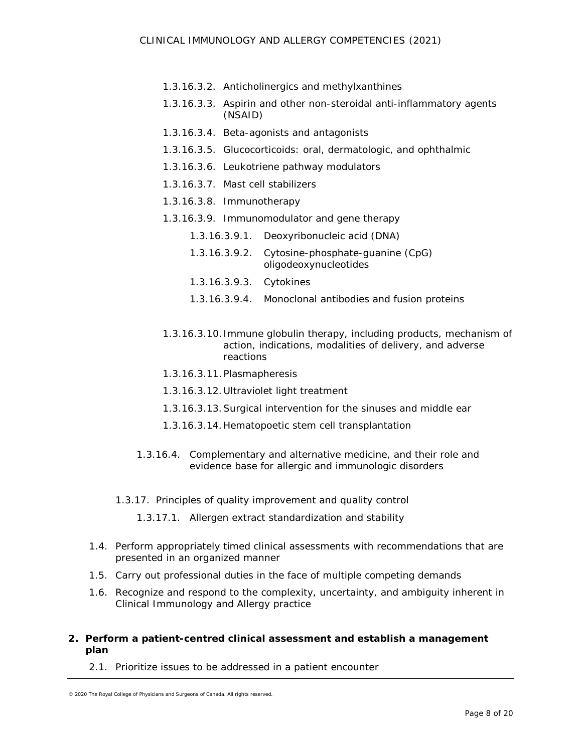- 1.3.16.3.2. Anticholinergics and methylxanthines
- 1.3.16.3.3. Aspirin and other non-steroidal anti-inflammatory agents (NSAID)
- 1.3.16.3.4. Beta-agonists and antagonists
- 1.3.16.3.5. Glucocorticoids: oral, dermatologic, and ophthalmic
- 1.3.16.3.6. Leukotriene pathway modulators
- 1.3.16.3.7. Mast cell stabilizers
- 1.3.16.3.8. Immunotherapy
- 1.3.16.3.9. Immunomodulator and gene therapy
	- 1.3.16.3.9.1. Deoxyribonucleic acid (DNA)
	- 1.3.16.3.9.2. Cytosine-phosphate-guanine (CpG) oligodeoxynucleotides
	- 1.3.16.3.9.3. Cytokines
	- 1.3.16.3.9.4. Monoclonal antibodies and fusion proteins
- 1.3.16.3.10. Immune globulin therapy, including products, mechanism of action, indications, modalities of delivery, and adverse reactions
- 1.3.16.3.11.Plasmapheresis
- 1.3.16.3.12.Ultraviolet light treatment
- 1.3.16.3.13.Surgical intervention for the sinuses and middle ear
- 1.3.16.3.14.Hematopoetic stem cell transplantation
- 1.3.16.4. Complementary and alternative medicine, and their role and evidence base for allergic and immunologic disorders
- 1.3.17. Principles of quality improvement and quality control
	- 1.3.17.1. Allergen extract standardization and stability
- 1.4. Perform appropriately timed clinical assessments with recommendations that are presented in an organized manner
- 1.5. Carry out professional duties in the face of multiple competing demands
- 1.6. Recognize and respond to the complexity, uncertainty, and ambiguity inherent in Clinical Immunology and Allergy practice
- **2. Perform a patient-centred clinical assessment and establish a management plan**
	- 2.1. Prioritize issues to be addressed in a patient encounter

<sup>© 2020</sup> The Royal College of Physicians and Surgeons of Canada. All rights reserved.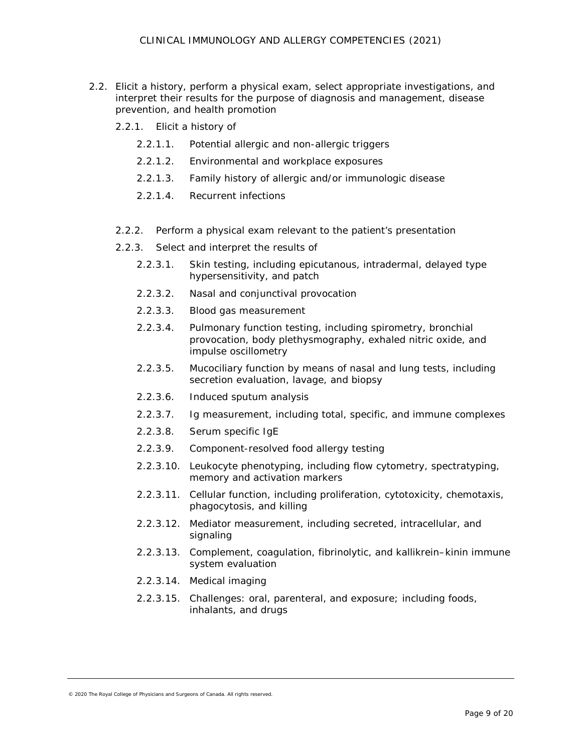- 2.2. Elicit a history, perform a physical exam, select appropriate investigations, and interpret their results for the purpose of diagnosis and management, disease prevention, and health promotion
	- 2.2.1. Elicit a history of
		- 2.2.1.1. Potential allergic and non-allergic triggers
		- 2.2.1.2. Environmental and workplace exposures
		- 2.2.1.3. Family history of allergic and/or immunologic disease
		- 2.2.1.4. Recurrent infections
	- 2.2.2. Perform a physical exam relevant to the patient's presentation
	- 2.2.3. Select and interpret the results of
		- 2.2.3.1. Skin testing, including epicutanous, intradermal, delayed type hypersensitivity, and patch
		- 2.2.3.2. Nasal and conjunctival provocation
		- 2.2.3.3. Blood gas measurement
		- 2.2.3.4. Pulmonary function testing, including spirometry, bronchial provocation, body plethysmography, exhaled nitric oxide, and impulse oscillometry
		- 2.2.3.5. Mucociliary function by means of nasal and lung tests, including secretion evaluation, lavage, and biopsy
		- 2.2.3.6. Induced sputum analysis
		- 2.2.3.7. Ig measurement, including total, specific, and immune complexes
		- 2.2.3.8. Serum specific IgE
		- 2.2.3.9. Component-resolved food allergy testing
		- 2.2.3.10. Leukocyte phenotyping, including flow cytometry, spectratyping, memory and activation markers
		- 2.2.3.11. Cellular function, including proliferation, cytotoxicity, chemotaxis, phagocytosis, and killing
		- 2.2.3.12. Mediator measurement, including secreted, intracellular, and signaling
		- 2.2.3.13. Complement, coagulation, fibrinolytic, and kallikrein–kinin immune system evaluation
		- 2.2.3.14. Medical imaging
		- 2.2.3.15. Challenges: oral, parenteral, and exposure; including foods, inhalants, and drugs

<sup>© 2020</sup> The Royal College of Physicians and Surgeons of Canada. All rights reserved.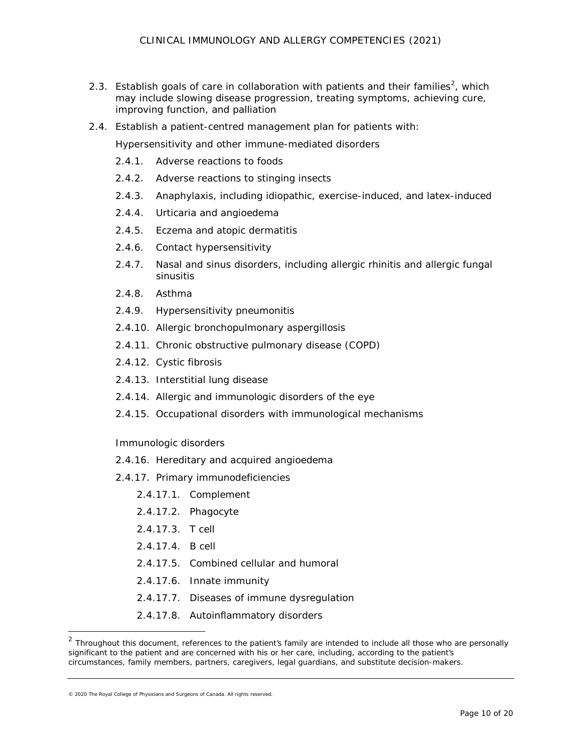- [2](#page-9-0).3. Establish goals of care in collaboration with patients and their families<sup>2</sup>, which may include slowing disease progression, treating symptoms, achieving cure, improving function, and palliation
- 2.4. Establish a patient-centred management plan for patients with:

Hypersensitivity and other immune-mediated disorders

- 2.4.1. Adverse reactions to foods
- 2.4.2. Adverse reactions to stinging insects
- 2.4.3. Anaphylaxis, including idiopathic, exercise-induced, and latex-induced
- 2.4.4. Urticaria and angioedema
- 2.4.5. Eczema and atopic dermatitis
- 2.4.6. Contact hypersensitivity
- 2.4.7. Nasal and sinus disorders, including allergic rhinitis and allergic fungal sinusitis
- 2.4.8. Asthma
- 2.4.9. Hypersensitivity pneumonitis
- 2.4.10. Allergic bronchopulmonary aspergillosis
- 2.4.11. Chronic obstructive pulmonary disease (COPD)
- 2.4.12. Cystic fibrosis
- 2.4.13. Interstitial lung disease
- 2.4.14. Allergic and immunologic disorders of the eye
- 2.4.15. Occupational disorders with immunological mechanisms

#### Immunologic disorders

- 2.4.16. Hereditary and acquired angioedema
- 2.4.17. Primary immunodeficiencies
	- 2.4.17.1. Complement
	- 2.4.17.2. Phagocyte
	- 2.4.17.3. T cell
	- 2.4.17.4. B cell
	- 2.4.17.5. Combined cellular and humoral
	- 2.4.17.6. Innate immunity
	- 2.4.17.7. Diseases of immune dysregulation
	- 2.4.17.8. Autoinflammatory disorders

 $\overline{a}$ 

<span id="page-9-0"></span> $2$  Throughout this document, references to the patient's family are intended to include all those who are personally significant to the patient and are concerned with his or her care, including, according to the patient's circumstances, family members, partners, caregivers, legal guardians, and substitute decision-makers.

<sup>© 2020</sup> The Royal College of Physicians and Surgeons of Canada. All rights reserved.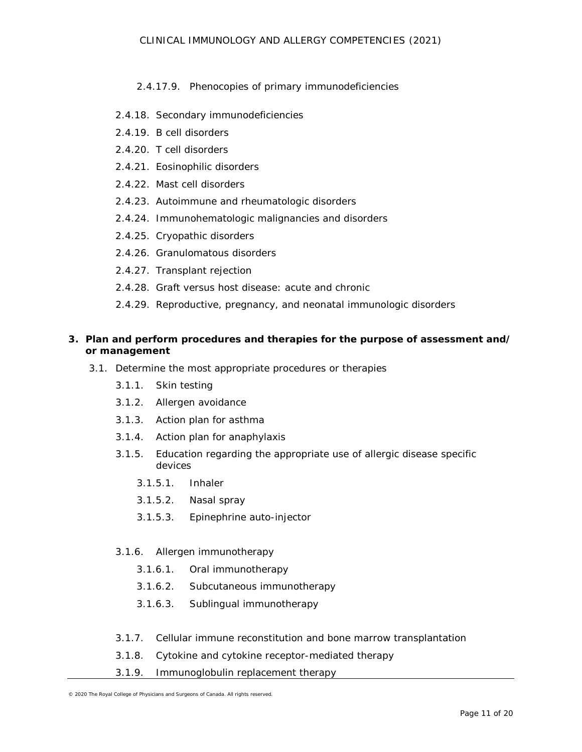## 2.4.17.9. Phenocopies of primary immunodeficiencies

- 2.4.18. Secondary immunodeficiencies
- 2.4.19. B cell disorders
- 2.4.20. T cell disorders
- 2.4.21. Eosinophilic disorders
- 2.4.22. Mast cell disorders
- 2.4.23. Autoimmune and rheumatologic disorders
- 2.4.24. Immunohematologic malignancies and disorders
- 2.4.25. Cryopathic disorders
- 2.4.26. Granulomatous disorders
- 2.4.27. Transplant rejection
- 2.4.28. Graft versus host disease: acute and chronic
- 2.4.29. Reproductive, pregnancy, and neonatal immunologic disorders

## **3. Plan and perform procedures and therapies for the purpose of assessment and/ or management**

- 3.1. Determine the most appropriate procedures or therapies
	- 3.1.1. Skin testing
	- 3.1.2. Allergen avoidance
	- 3.1.3. Action plan for asthma
	- 3.1.4. Action plan for anaphylaxis
	- 3.1.5. Education regarding the appropriate use of allergic disease specific devices
		- 3.1.5.1. Inhaler
		- 3.1.5.2. Nasal spray
		- 3.1.5.3. Epinephrine auto-injector

#### 3.1.6. Allergen immunotherapy

- 3.1.6.1. Oral immunotherapy
- 3.1.6.2. Subcutaneous immunotherapy
- 3.1.6.3. Sublingual immunotherapy
- 3.1.7. Cellular immune reconstitution and bone marrow transplantation
- 3.1.8. Cytokine and cytokine receptor-mediated therapy
- 3.1.9. Immunoglobulin replacement therapy

<sup>© 2020</sup> The Royal College of Physicians and Surgeons of Canada. All rights reserved.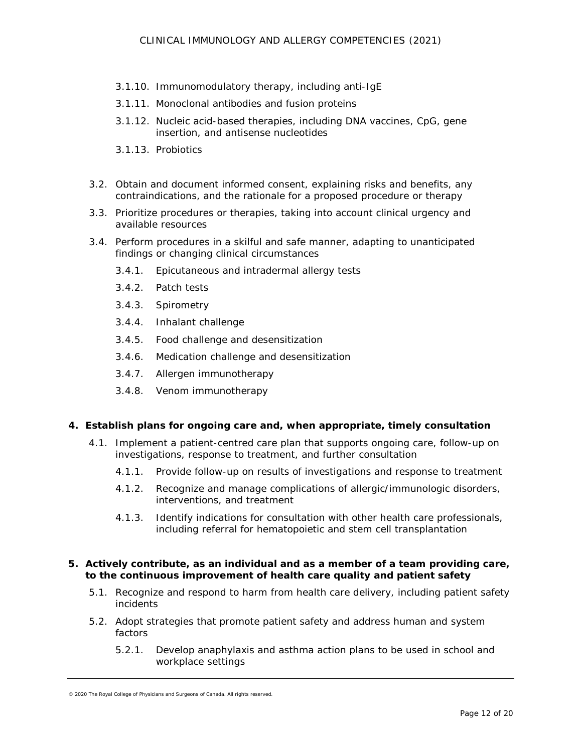- 3.1.10. Immunomodulatory therapy, including anti-IgE
- 3.1.11. Monoclonal antibodies and fusion proteins
- 3.1.12. Nucleic acid-based therapies, including DNA vaccines, CpG, gene insertion, and antisense nucleotides
- 3.1.13. Probiotics
- 3.2. Obtain and document informed consent, explaining risks and benefits, any contraindications, and the rationale for a proposed procedure or therapy
- 3.3. Prioritize procedures or therapies, taking into account clinical urgency and available resources
- 3.4. Perform procedures in a skilful and safe manner, adapting to unanticipated findings or changing clinical circumstances
	- 3.4.1. Epicutaneous and intradermal allergy tests
	- 3.4.2. Patch tests
	- 3.4.3. Spirometry
	- 3.4.4. Inhalant challenge
	- 3.4.5. Food challenge and desensitization
	- 3.4.6. Medication challenge and desensitization
	- 3.4.7. Allergen immunotherapy
	- 3.4.8. Venom immunotherapy

#### **4. Establish plans for ongoing care and, when appropriate, timely consultation**

- 4.1. Implement a patient-centred care plan that supports ongoing care, follow-up on investigations, response to treatment, and further consultation
	- 4.1.1. Provide follow-up on results of investigations and response to treatment
	- 4.1.2. Recognize and manage complications of allergic/immunologic disorders, interventions, and treatment
	- 4.1.3. Identify indications for consultation with other health care professionals, including referral for hematopoietic and stem cell transplantation

#### **5. Actively contribute, as an individual and as a member of a team providing care, to the continuous improvement of health care quality and patient safety**

- 5.1. Recognize and respond to harm from health care delivery, including patient safety incidents
- 5.2. Adopt strategies that promote patient safety and address human and system factors
	- 5.2.1. Develop anaphylaxis and asthma action plans to be used in school and workplace settings

<sup>© 2020</sup> The Royal College of Physicians and Surgeons of Canada. All rights reserved.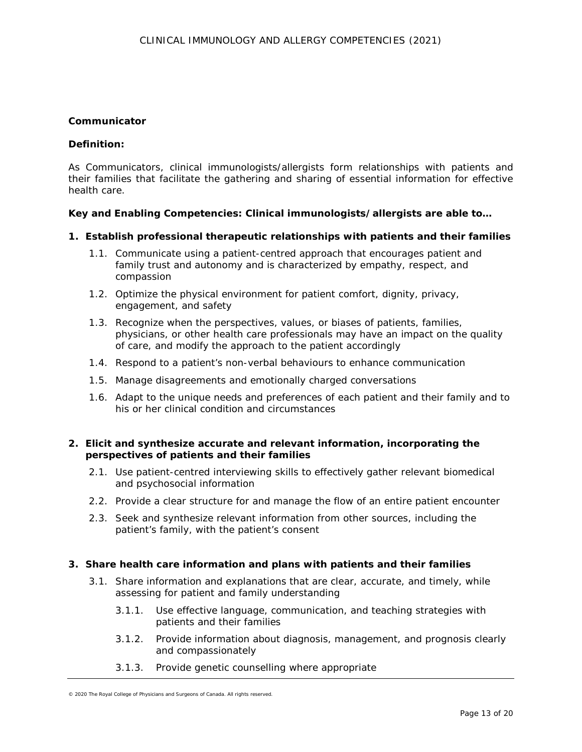### **Communicator**

### *Definition:*

As *Communicators*, clinical immunologists/allergists form relationships with patients and their families that facilitate the gathering and sharing of essential information for effective health care.

### *Key and Enabling Competencies: Clinical immunologists/allergists are able to…*

### **1. Establish professional therapeutic relationships with patients and their families**

- 1.1. Communicate using a patient-centred approach that encourages patient and family trust and autonomy and is characterized by empathy, respect, and compassion
- 1.2. Optimize the physical environment for patient comfort, dignity, privacy, engagement, and safety
- 1.3. Recognize when the perspectives, values, or biases of patients, families, physicians, or other health care professionals may have an impact on the quality of care, and modify the approach to the patient accordingly
- 1.4. Respond to a patient's non-verbal behaviours to enhance communication
- 1.5. Manage disagreements and emotionally charged conversations
- 1.6. Adapt to the unique needs and preferences of each patient and their family and to his or her clinical condition and circumstances

### **2. Elicit and synthesize accurate and relevant information, incorporating the perspectives of patients and their families**

- 2.1. Use patient-centred interviewing skills to effectively gather relevant biomedical and psychosocial information
- 2.2. Provide a clear structure for and manage the flow of an entire patient encounter
- 2.3. Seek and synthesize relevant information from other sources, including the patient's family, with the patient's consent

#### **3. Share health care information and plans with patients and their families**

- 3.1. Share information and explanations that are clear, accurate, and timely, while assessing for patient and family understanding
	- 3.1.1. Use effective language, communication, and teaching strategies with patients and their families
	- 3.1.2. Provide information about diagnosis, management, and prognosis clearly and compassionately
	- 3.1.3. Provide genetic counselling where appropriate

<sup>© 2020</sup> The Royal College of Physicians and Surgeons of Canada. All rights reserved.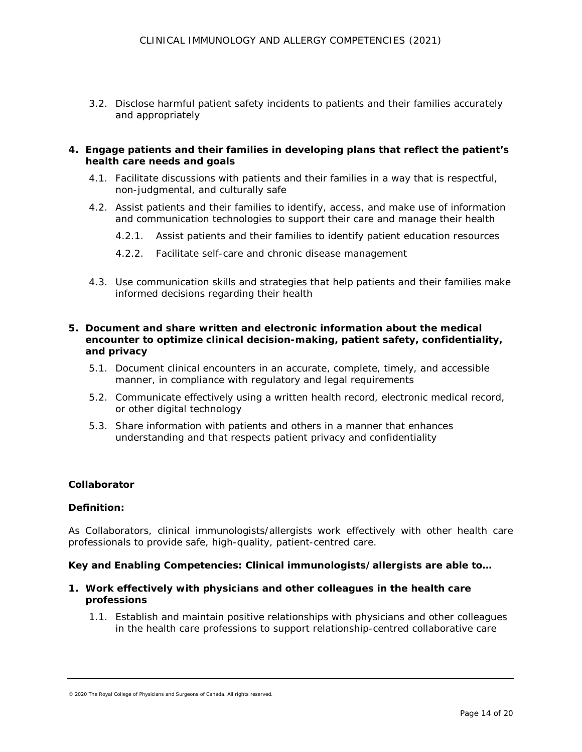3.2. Disclose harmful patient safety incidents to patients and their families accurately and appropriately

### **4. Engage patients and their families in developing plans that reflect the patient's health care needs and goals**

- 4.1. Facilitate discussions with patients and their families in a way that is respectful, non-judgmental, and culturally safe
- 4.2. Assist patients and their families to identify, access, and make use of information and communication technologies to support their care and manage their health
	- 4.2.1. Assist patients and their families to identify patient education resources
	- 4.2.2. Facilitate self-care and chronic disease management
- 4.3. Use communication skills and strategies that help patients and their families make informed decisions regarding their health

## **5. Document and share written and electronic information about the medical encounter to optimize clinical decision-making, patient safety, confidentiality, and privacy**

- 5.1. Document clinical encounters in an accurate, complete, timely, and accessible manner, in compliance with regulatory and legal requirements
- 5.2. Communicate effectively using a written health record, electronic medical record, or other digital technology
- 5.3. Share information with patients and others in a manner that enhances understanding and that respects patient privacy and confidentiality

## **Collaborator**

#### *Definition:*

As *Collaborators*, clinical immunologists/allergists work effectively with other health care professionals to provide safe, high-quality, patient-centred care.

#### *Key and Enabling Competencies: Clinical immunologists/allergists are able to…*

- **1. Work effectively with physicians and other colleagues in the health care professions** 
	- 1.1. Establish and maintain positive relationships with physicians and other colleagues in the health care professions to support relationship-centred collaborative care

<sup>© 2020</sup> The Royal College of Physicians and Surgeons of Canada. All rights reserved.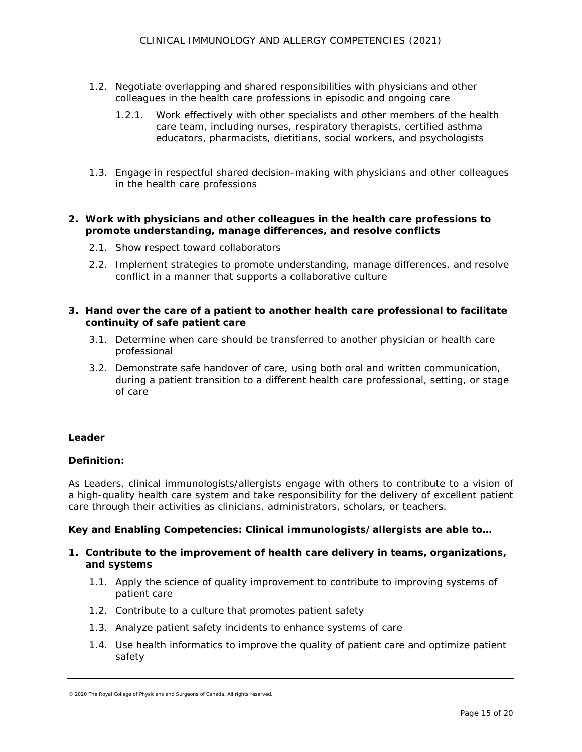- 1.2. Negotiate overlapping and shared responsibilities with physicians and other colleagues in the health care professions in episodic and ongoing care
	- 1.2.1. Work effectively with other specialists and other members of the health care team, including nurses, respiratory therapists, certified asthma educators, pharmacists, dietitians, social workers, and psychologists
- 1.3. Engage in respectful shared decision-making with physicians and other colleagues in the health care professions

## **2. Work with physicians and other colleagues in the health care professions to promote understanding, manage differences, and resolve conflicts**

- 2.1. Show respect toward collaborators
- 2.2. Implement strategies to promote understanding, manage differences, and resolve conflict in a manner that supports a collaborative culture

## **3. Hand over the care of a patient to another health care professional to facilitate continuity of safe patient care**

- 3.1. Determine when care should be transferred to another physician or health care professional
- 3.2. Demonstrate safe handover of care, using both oral and written communication, during a patient transition to a different health care professional, setting, or stage of care

## **Leader**

## *Definition:*

As *Leaders*, clinical immunologists/allergists engage with others to contribute to a vision of a high-quality health care system and take responsibility for the delivery of excellent patient care through their activities as clinicians, administrators, scholars, or teachers.

## *Key and Enabling Competencies: Clinical immunologists/allergists are able to…*

## **1. Contribute to the improvement of health care delivery in teams, organizations, and systems**

- 1.1. Apply the science of quality improvement to contribute to improving systems of patient care
- 1.2. Contribute to a culture that promotes patient safety
- 1.3. Analyze patient safety incidents to enhance systems of care
- 1.4. Use health informatics to improve the quality of patient care and optimize patient safety

<sup>© 2020</sup> The Royal College of Physicians and Surgeons of Canada. All rights reserved.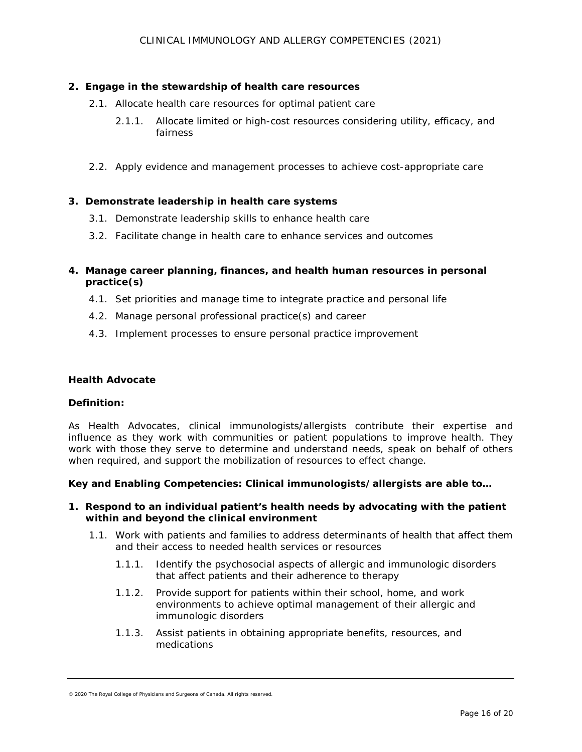### **2. Engage in the stewardship of health care resources**

- 2.1. Allocate health care resources for optimal patient care
	- 2.1.1. Allocate limited or high-cost resources considering utility, efficacy, and fairness
- 2.2. Apply evidence and management processes to achieve cost-appropriate care

### **3. Demonstrate leadership in health care systems**

- 3.1. Demonstrate leadership skills to enhance health care
- 3.2. Facilitate change in health care to enhance services and outcomes

## **4. Manage career planning, finances, and health human resources in personal practice(s)**

- 4.1. Set priorities and manage time to integrate practice and personal life
- 4.2. Manage personal professional practice(s) and career
- 4.3. Implement processes to ensure personal practice improvement

#### **Health Advocate**

#### *Definition:*

As *Health Advocates*, clinical immunologists/allergists contribute their expertise and influence as they work with communities or patient populations to improve health. They work with those they serve to determine and understand needs, speak on behalf of others when required, and support the mobilization of resources to effect change.

#### *Key and Enabling Competencies: Clinical immunologists/allergists are able to…*

#### **1. Respond to an individual patient's health needs by advocating with the patient within and beyond the clinical environment**

- 1.1. Work with patients and families to address determinants of health that affect them and their access to needed health services or resources
	- 1.1.1. Identify the psychosocial aspects of allergic and immunologic disorders that affect patients and their adherence to therapy
	- 1.1.2. Provide support for patients within their school, home, and work environments to achieve optimal management of their allergic and immunologic disorders
	- 1.1.3. Assist patients in obtaining appropriate benefits, resources, and medications

<sup>© 2020</sup> The Royal College of Physicians and Surgeons of Canada. All rights reserved.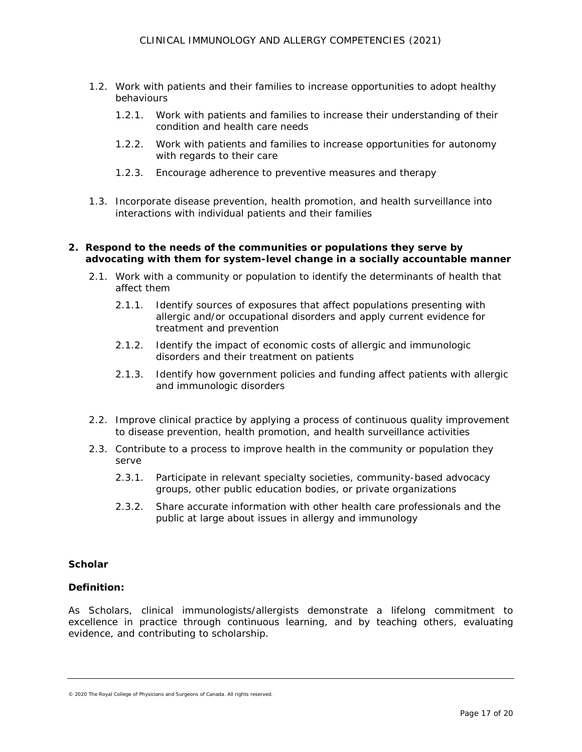- 1.2. Work with patients and their families to increase opportunities to adopt healthy behaviours
	- 1.2.1. Work with patients and families to increase their understanding of their condition and health care needs
	- 1.2.2. Work with patients and families to increase opportunities for autonomy with regards to their care
	- 1.2.3. Encourage adherence to preventive measures and therapy
- 1.3. Incorporate disease prevention, health promotion, and health surveillance into interactions with individual patients and their families

#### **2. Respond to the needs of the communities or populations they serve by advocating with them for system-level change in a socially accountable manner**

- 2.1. Work with a community or population to identify the determinants of health that affect them
	- 2.1.1. Identify sources of exposures that affect populations presenting with allergic and/or occupational disorders and apply current evidence for treatment and prevention
	- 2.1.2. Identify the impact of economic costs of allergic and immunologic disorders and their treatment on patients
	- 2.1.3. Identify how government policies and funding affect patients with allergic and immunologic disorders
- 2.2. Improve clinical practice by applying a process of continuous quality improvement to disease prevention, health promotion, and health surveillance activities
- 2.3. Contribute to a process to improve health in the community or population they serve
	- 2.3.1. Participate in relevant specialty societies, community-based advocacy groups, other public education bodies, or private organizations
	- 2.3.2. Share accurate information with other health care professionals and the public at large about issues in allergy and immunology

## **Scholar**

#### *Definition:*

As *Scholars*, clinical immunologists/allergists demonstrate a lifelong commitment to excellence in practice through continuous learning, and by teaching others, evaluating evidence, and contributing to scholarship.

<sup>© 2020</sup> The Royal College of Physicians and Surgeons of Canada. All rights reserved.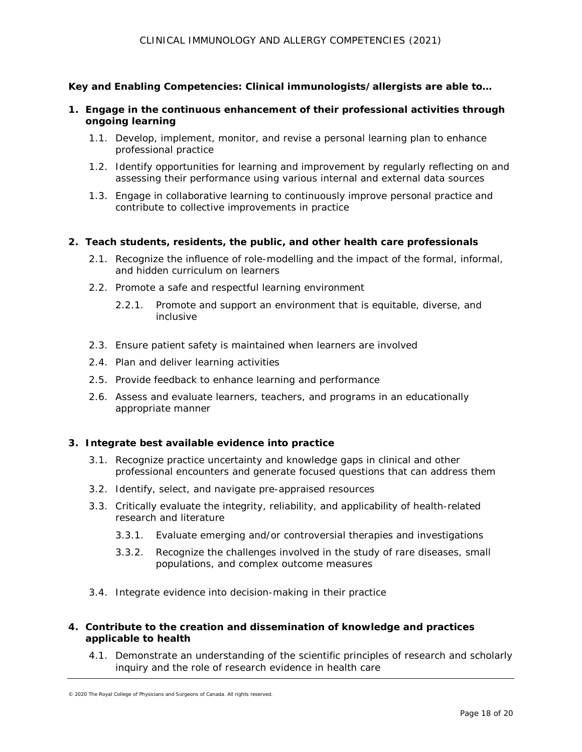## *Key and Enabling Competencies: Clinical immunologists/allergists are able to…*

- **1. Engage in the continuous enhancement of their professional activities through ongoing learning**
	- 1.1. Develop, implement, monitor, and revise a personal learning plan to enhance professional practice
	- 1.2. Identify opportunities for learning and improvement by regularly reflecting on and assessing their performance using various internal and external data sources
	- 1.3. Engage in collaborative learning to continuously improve personal practice and contribute to collective improvements in practice

#### **2. Teach students, residents, the public, and other health care professionals**

- 2.1. Recognize the influence of role-modelling and the impact of the formal, informal, and hidden curriculum on learners
- 2.2. Promote a safe and respectful learning environment
	- 2.2.1. Promote and support an environment that is equitable, diverse, and inclusive
- 2.3. Ensure patient safety is maintained when learners are involved
- 2.4. Plan and deliver learning activities
- 2.5. Provide feedback to enhance learning and performance
- 2.6. Assess and evaluate learners, teachers, and programs in an educationally appropriate manner

#### **3. Integrate best available evidence into practice**

- 3.1. Recognize practice uncertainty and knowledge gaps in clinical and other professional encounters and generate focused questions that can address them
- 3.2. Identify, select, and navigate pre-appraised resources
- 3.3. Critically evaluate the integrity, reliability, and applicability of health-related research and literature
	- 3.3.1. Evaluate emerging and/or controversial therapies and investigations
	- 3.3.2. Recognize the challenges involved in the study of rare diseases, small populations, and complex outcome measures
- 3.4. Integrate evidence into decision-making in their practice

## **4. Contribute to the creation and dissemination of knowledge and practices applicable to health**

4.1. Demonstrate an understanding of the scientific principles of research and scholarly inquiry and the role of research evidence in health care

<sup>© 2020</sup> The Royal College of Physicians and Surgeons of Canada. All rights reserved.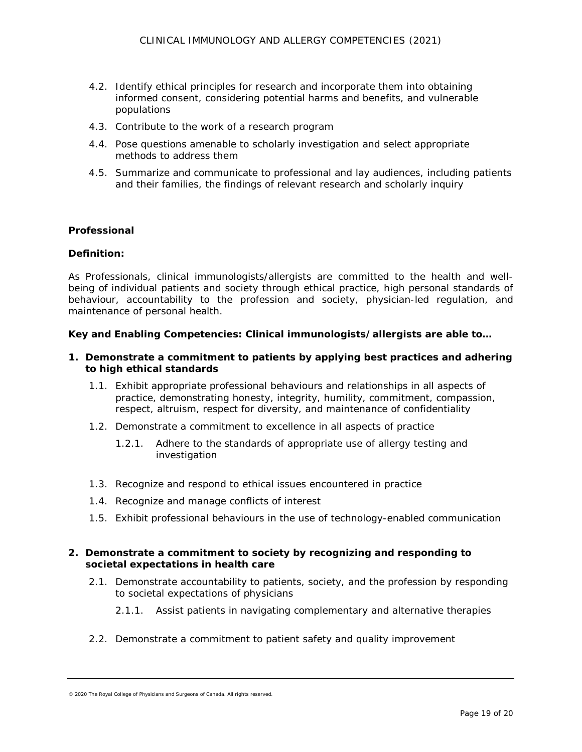- 4.2. Identify ethical principles for research and incorporate them into obtaining informed consent, considering potential harms and benefits, and vulnerable populations
- 4.3. Contribute to the work of a research program
- 4.4. Pose questions amenable to scholarly investigation and select appropriate methods to address them
- 4.5. Summarize and communicate to professional and lay audiences, including patients and their families, the findings of relevant research and scholarly inquiry

### **Professional**

### *Definition:*

As *Professionals*, clinical immunologists/allergists are committed to the health and wellbeing of individual patients and society through ethical practice, high personal standards of behaviour, accountability to the profession and society, physician-led regulation, and maintenance of personal health.

## *Key and Enabling Competencies: Clinical immunologists/allergists are able to…*

- **1. Demonstrate a commitment to patients by applying best practices and adhering to high ethical standards**
	- 1.1. Exhibit appropriate professional behaviours and relationships in all aspects of practice, demonstrating honesty, integrity, humility, commitment, compassion, respect, altruism, respect for diversity, and maintenance of confidentiality
	- 1.2. Demonstrate a commitment to excellence in all aspects of practice
		- 1.2.1. Adhere to the standards of appropriate use of allergy testing and investigation
	- 1.3. Recognize and respond to ethical issues encountered in practice
	- 1.4. Recognize and manage conflicts of interest
	- 1.5. Exhibit professional behaviours in the use of technology-enabled communication

### **2. Demonstrate a commitment to society by recognizing and responding to societal expectations in health care**

- 2.1. Demonstrate accountability to patients, society, and the profession by responding to societal expectations of physicians
	- 2.1.1. Assist patients in navigating complementary and alternative therapies
- 2.2. Demonstrate a commitment to patient safety and quality improvement

<sup>© 2020</sup> The Royal College of Physicians and Surgeons of Canada. All rights reserved.